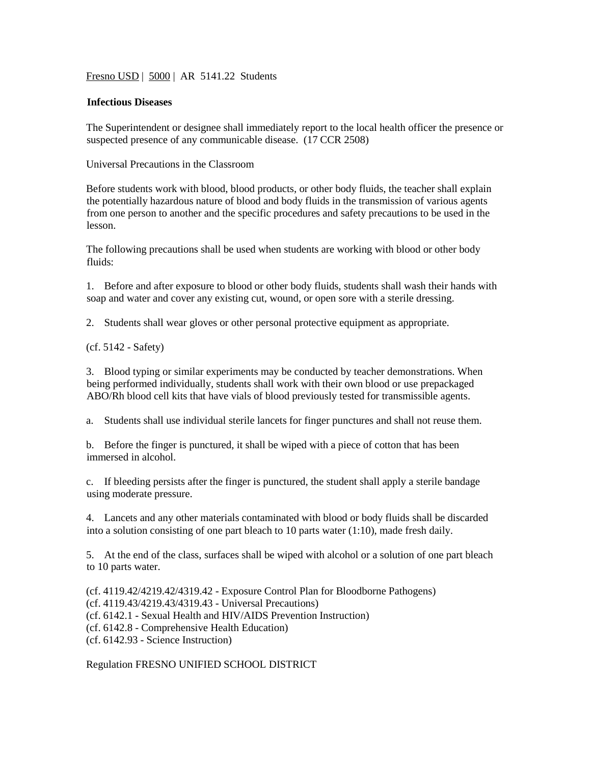Fresno USD | 5000 | AR 5141.22 Students

## **Infectious Diseases**

The Superintendent or designee shall immediately report to the local health officer the presence or suspected presence of any communicable disease. (17 CCR 2508)

Universal Precautions in the Classroom

Before students work with blood, blood products, or other body fluids, the teacher shall explain the potentially hazardous nature of blood and body fluids in the transmission of various agents from one person to another and the specific procedures and safety precautions to be used in the lesson.

The following precautions shall be used when students are working with blood or other body fluids:

1. Before and after exposure to blood or other body fluids, students shall wash their hands with soap and water and cover any existing cut, wound, or open sore with a sterile dressing.

2. Students shall wear gloves or other personal protective equipment as appropriate.

## (cf. 5142 - Safety)

3. Blood typing or similar experiments may be conducted by teacher demonstrations. When being performed individually, students shall work with their own blood or use prepackaged ABO/Rh blood cell kits that have vials of blood previously tested for transmissible agents.

a. Students shall use individual sterile lancets for finger punctures and shall not reuse them.

b. Before the finger is punctured, it shall be wiped with a piece of cotton that has been immersed in alcohol.

c. If bleeding persists after the finger is punctured, the student shall apply a sterile bandage using moderate pressure.

4. Lancets and any other materials contaminated with blood or body fluids shall be discarded into a solution consisting of one part bleach to 10 parts water (1:10), made fresh daily.

5. At the end of the class, surfaces shall be wiped with alcohol or a solution of one part bleach to 10 parts water.

(cf. 4119.42/4219.42/4319.42 - Exposure Control Plan for Bloodborne Pathogens) (cf. 4119.43/4219.43/4319.43 - Universal Precautions) (cf. 6142.1 - Sexual Health and HIV/AIDS Prevention Instruction) (cf. 6142.8 - Comprehensive Health Education) (cf. 6142.93 - Science Instruction)

Regulation FRESNO UNIFIED SCHOOL DISTRICT